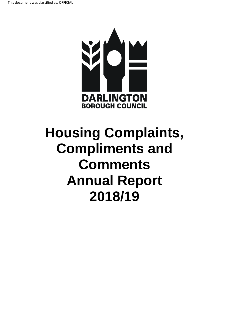

# **Housing Complaints, Compliments and Comments Annual Report 2018/19**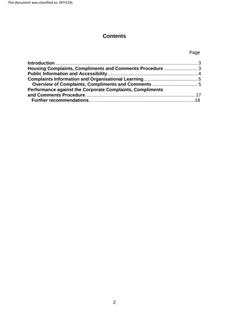# **Contents**

## Page

| Performance against the Corporate Complaints, Compliments |  |
|-----------------------------------------------------------|--|
|                                                           |  |
|                                                           |  |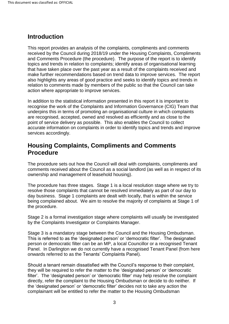# <span id="page-2-0"></span>**Introduction**

 received by the Council during 2018/19 under the Housing Complaints, Compliments that have taken place over the past year as a result of the complaints received and action where appropriate to improve services. This report provides an analysis of the complaints, compliments and comments and Comments Procedure (the procedure). The purpose of the report is to identify topics and trends in relation to complaints; identify areas of organisational learning make further recommendations based on trend data to improve services. The report also highlights any areas of good practice and seeks to identify topics and trends in relation to comments made by members of the public so that the Council can take

 point of service delivery as possible. This also enables the Council to collect services accordingly. In addition to the statistical information presented in this report it is important to recognise the work of the Complaints and Information Governance (CIG) Team that underpins this in terms of promoting an organisational culture in which complaints are recognised, accepted, owned and resolved as efficiently and as close to the accurate information on complaints in order to identify topics and trends and improve

# <span id="page-2-1"></span>**Housing Complaints, Compliments and Comments Procedure**

 comments received about the Council as a social landlord (as well as in respect of its ownership and management of leasehold housing). The procedure sets out how the Council will deal with complaints, compliments and

ownership and management of leasehold housing).<br>The procedure has three stages. Stage 1 is a local resolution stage where we try to day business. Stage 1 complaints are dealt with locally, that is within the service being complained about. We aim to resolve the majority of complaints at Stage 1 of the procedure. resolve those complaints that cannot be resolved immediately as part of our day to

 by the Complaints Investigator or Complaints Manager. Stage 2 is a formal investigation stage where complaints will usually be investigated

 This is referred to as the 'designated person' or 'democratic filter'. The designated person or democratic filter can be an MP, a local Councillor or a recognised Tenant Panel. In Darlington we do not currently have a recognised Tenant Panel (from here onwards referred to as the Tenants' Complaints Panel). Stage 3 is a mandatory stage between the Council and the Housing Ombudsman.

 filter'. The 'designated person' or 'democratic filter' may help resolve the complaint directly, refer the complaint to the Housing Ombudsman or decide to do neither. If the 'designated person' or 'democratic filter' decides not to take any action the complainant will be entitled to refer the matter to the Housing Ombudsman Should a tenant remain dissatisfied with the Council's response to their complaint, they will be required to refer the matter to the 'designated person' or 'democratic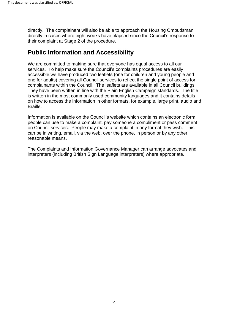directly. The complainant will also be able to approach the Housing Ombudsman their complaint at Stage 2 of the procedure. directly in cases where eight weeks have elapsed since the Council's response to

# <span id="page-3-0"></span>**Public Information and Accessibility**

 services. To help make sure the Council's complaints procedures are easily accessible we have produced two leaflets (one for children and young people and complainants within the Council. The leaflets are available in all Council buildings. They have been written in line with the Plain English Campaign standards. The title on how to access the information in other formats, for example, large print, audio and Braille. We are committed to making sure that everyone has equal access to all our one for adults) covering all Council services to reflect the single point of access for is written in the most commonly used community languages and it contains details

 on Council services. People may make a complaint in any format they wish. This Information is available on the Council's website which contains an electronic form people can use to make a complaint, pay someone a compliment or pass comment can be in writing, email, via the web, over the phone, in person or by any other reasonable means.

 The Complaints and Information Governance Manager can arrange advocates and interpreters (including British Sign Language interpreters) where appropriate.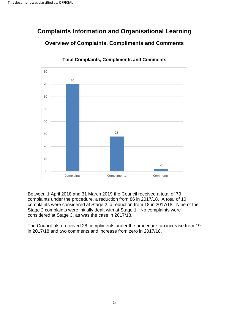# <span id="page-4-1"></span><span id="page-4-0"></span>**Complaints Information and Organisational Learning Overview of Complaints, Compliments and Comments**



 **Total Complaints, Compliments and Comments** 

 Between 1 April 2018 and 31 March 2019 the Council received a total of 70 complaints under the procedure, a reduction from 86 in 2017/18. A total of 10 complaints were considered at Stage 2, a reduction from 18 in 2017/18. Nine of the Stage 2 complaints were initially dealt with at Stage 1. No complaints were considered at Stage 3, as was the case in 2017/18.

 The Council also received 28 compliments under the procedure, an increase from 19 in 2017/18 and two comments and increase from zero in 2017/18.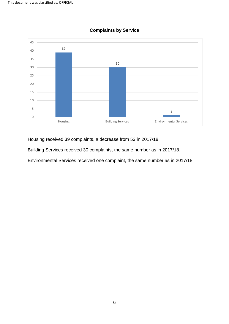

#### **Complaints by Service**

Housing received 39 complaints, a decrease from 53 in 2017/18.

Building Services received 30 complaints, the same number as in 2017/18.

Environmental Services received one complaint, the same number as in 2017/18.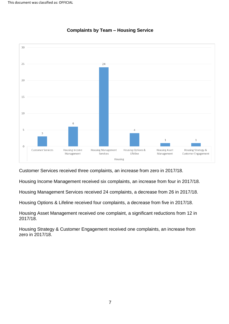

#### **Complaints by Team – Housing Service**

Customer Services received three complaints, an increase from zero in 2017/18.

Housing Income Management received six complaints, an increase from four in 2017/18.

Housing Management Services received 24 complaints, a decrease from 26 in 2017/18.

Housing Options & Lifeline received four complaints, a decrease from five in 2017/18.

Housing Asset Management received one complaint, a significant reductions from 12 in 2017/18.

 Housing Strategy & Customer Engagement received one complaints, an increase from zero in 2017/18.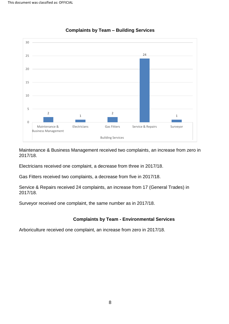

#### **Complaints by Team – Building Services**

Maintenance & Business Management received two complaints, an increase from zero in 2017/18.

Electricians received one complaint, a decrease from three in 2017/18.

Gas Fitters received two complaints, a decrease from five in 2017/18.

 Service & Repairs received 24 complaints, an increase from 17 (General Trades) in 2017/18.

Surveyor received one complaint, the same number as in 2017/18.

#### **Complaints by Team - Environmental Services**

Arboriculture received one complaint, an increase from zero in 2017/18.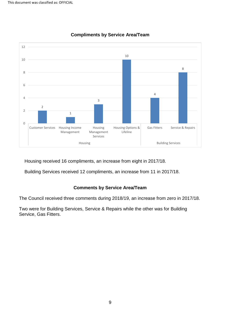

#### **Compliments by Service Area/Team**

Housing received 16 compliments, an increase from eight in 2017/18.

Building Services received 12 compliments, an increase from 11 in 2017/18.

#### **Comments by Service Area/Team**

The Council received three comments during 2018/19, an increase from zero in 2017/18.

 Two were for Building Services, Service & Repairs while the other was for Building Service, Gas Fitters.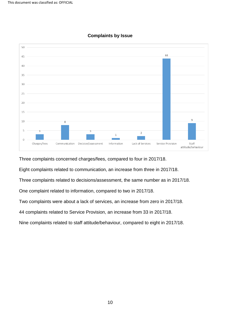

#### **Complaints by Issue**

Three complaints concerned charges/fees, compared to four in 2017/18.

Eight complaints related to communication, an increase from three in 2017/18.

Three complaints related to decisions/assessment, the same number as in 2017/18.

One complaint related to information, compared to two in 2017/18.

Two complaints were about a lack of services, an increase from zero in 2017/18.

44 complaints related to Service Provision, an increase from 33 in 2017/18.

Nine complaints related to staff attitude/behaviour, compared to eight in 2017/18.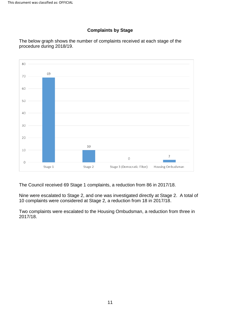#### **Complaints by Stage**

 The below graph shows the number of complaints received at each stage of the procedure during 2018/19.



The Council received 69 Stage 1 complaints, a reduction from 86 in 2017/18.

 Nine were escalated to Stage 2, and one was investigated directly at Stage 2. A total of 10 complaints were considered at Stage 2, a reduction from 18 in 2017/18.

 Two complaints were escalated to the Housing Ombudsman, a reduction from three in 2017/18.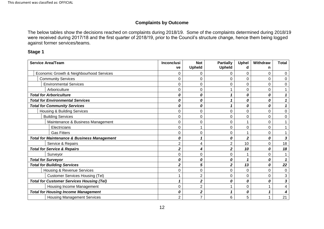#### **Complaints by Outcome**

The below tables show the decisions reached on complaints during 2018/19. Some of the complaints determined during 2018/19 were received during 2017/18 and the first quarter of 2018/19, prior to the Council's structure change, hence them being logged against former services/teams.

#### **Stage 1**

| <b>Service Area/Team</b>                               | <b>Inconclusi</b><br>ve | <b>Not</b><br><b>Upheld</b> | <b>Partially</b><br><b>Upheld</b> | <b>Uphel</b><br>d | Withdraw<br>n | <b>Total</b> |
|--------------------------------------------------------|-------------------------|-----------------------------|-----------------------------------|-------------------|---------------|--------------|
| Economic Growth & Neighbourhood Services               | 0                       | 0                           | 0                                 | 0                 | 0             | 0            |
| <b>Community Services</b>                              | 0                       | 0                           | 0                                 | 0                 | 0             | $\Omega$     |
| <b>Environmental Services</b>                          | 0                       | 0                           | 0                                 | 0                 | 0             | 0            |
| Arboriculture                                          | 0                       | 0                           | 1                                 | 0                 | 0             |              |
| <b>Total for Arboriculture</b>                         | 0                       | 0                           | 1                                 | 0                 | 0             |              |
| <b>Total for Environmental Services</b>                | 0                       | 0                           | 1                                 | Ω                 | 0             |              |
| <b>Total for Community Services</b>                    | 0                       | 0                           | 1                                 | 0                 | 0             |              |
| Housing & Building Services                            | 0                       | 0                           | 0                                 | 0                 | 0             | 0            |
| <b>Building Services</b>                               | 0                       | 0                           | 0                                 | 0                 | 0             | $\Omega$     |
| Maintenance & Business Management                      | 0                       | 0                           | 0                                 |                   | 0             |              |
| Electricians                                           | 0                       |                             | 0                                 | 0                 | 0             |              |
| <b>Gas Fitters</b>                                     | 0                       | 0                           | 0                                 |                   | 0             |              |
| <b>Total for Maintenance &amp; Business Management</b> | 0                       |                             | 0                                 | 2                 | 0             | 3            |
| Service & Repairs                                      | $\overline{2}$          | 4                           | $\overline{2}$                    | 10                | 0             | 18           |
| <b>Total for Service &amp; Repairs</b>                 | 2                       | 4                           | $\overline{\mathbf{2}}$           | 10                | 0             | 18           |
| Surveyor                                               | 0                       | 0                           | 0                                 |                   | 0             |              |
| <b>Total for Surveyor</b>                              | 0                       | 0                           | 0                                 |                   | 0             |              |
| <b>Total for Building Services</b>                     | 2                       | 5                           | $\overline{\mathbf{2}}$           | 13                | 0             | 22           |
| Housing & Revenue Services                             | 0                       | 0                           | 0                                 | 0                 | 0             | $\Omega$     |
| <b>Customer Services Housing (Tel)</b>                 |                         | $\overline{2}$              | 0                                 | 0                 | 0             | 3            |
| <b>Total for Customer Services Housing (Tel)</b>       |                         | $\mathbf{2}$                | 0                                 | 0                 | 0             | 3            |
| Housing Income Management                              | 0                       | $\overline{2}$              | 1                                 | 0                 |               |              |
| <b>Total for Housing Income Management</b>             | 0                       | 2                           | 1                                 | 0                 |               |              |
| <b>Housing Management Services</b>                     | $\overline{2}$          | 7                           | 6                                 | 5                 |               | 21           |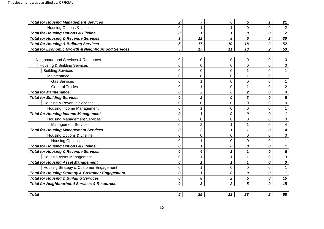| <b>Total for Housing Management Services</b>                  | $\overline{\mathbf{2}}$ | $\overline{7}$          | 6                       | 5                       | $\mathbf{1}$            | 21                      |
|---------------------------------------------------------------|-------------------------|-------------------------|-------------------------|-------------------------|-------------------------|-------------------------|
| Housing Options & Lifeline                                    | 0                       | 1                       | $\mathbf 1$             | $\overline{0}$          | $\overline{0}$          | $\overline{2}$          |
| <b>Total for Housing Options &amp; Lifeline</b>               | 0                       | $\mathbf{1}$            | $\mathbf{1}$            | 0                       | 0                       | $\overline{\mathbf{2}}$ |
| <b>Total for Housing &amp; Revenue Services</b>               | 3                       | 12                      | 8                       | 5                       | $\overline{\mathbf{2}}$ | 30                      |
| <b>Total for Housing &amp; Building Services</b>              | 5                       | 17                      | 10                      | 18                      | $\overline{\mathbf{2}}$ | 52                      |
| <b>Total for Economic Growth &amp; Neighbourhood Services</b> | 5                       | 17                      | 11                      | 18                      | $\overline{2}$          | 53                      |
|                                                               |                         |                         |                         |                         |                         |                         |
| Neighbourhood Services & Resources                            | 0                       | 0                       | 0                       | 0                       | 0                       | 0                       |
| <b>Housing &amp; Building Services</b>                        | 0                       | 0                       | 0                       | $\mathbf 0$             | 0                       | 0                       |
| <b>Building Services</b>                                      | $\mathbf 0$             | 0                       | 0                       | $\mathbf{1}$            | 0                       | $\mathbf{1}$            |
| Maintenance                                                   | 0                       | 0                       | 0                       | 1                       | 0                       | 1                       |
| <b>Gas Services</b>                                           | 0                       | 1                       | 0                       | $\mathbf 0$             | $\Omega$                |                         |
| <b>General Trades</b>                                         | 0                       | 1                       | 0                       | $\mathbf{1}$            | 0                       | $\overline{2}$          |
| <b>Total for Maintenance</b>                                  | 0                       | $\overline{\mathbf{2}}$ | 0                       | $\overline{\mathbf{2}}$ | 0                       | 4                       |
| <b>Total for Building Services</b>                            | 0                       | $\overline{\mathbf{2}}$ | 0                       | 3                       | 0                       | 5                       |
| <b>Housing &amp; Revenue Services</b>                         | 0                       | 0                       | 0                       | $\mathbf 0$             | $\Omega$                | $\mathbf 0$             |
| Housing Income Management                                     | $\Omega$                | 1                       | 0                       | $\mathbf 0$             | $\Omega$                | $\mathbf 1$             |
| <b>Total for Housing Income Management</b>                    | 0                       | $\mathbf{1}$            | 0                       | 0                       | 0                       |                         |
| <b>Housing Management Services</b>                            | $\mathbf 0$             | 0                       | 0                       | $\mathbf 0$             | 0                       | $\Omega$                |
| <b>Management Services</b>                                    | 0                       | $\overline{2}$          | $\mathbf 1$             | $\mathbf 1$             | 0                       | 4                       |
| <b>Total for Housing Management Services</b>                  | 0                       | $\overline{\mathbf{2}}$ | $\mathbf{1}$            | 1                       | 0                       | 4                       |
| Housing Options & Lifeline                                    | 0                       | 0                       | 0                       | $\mathbf 0$             | 0                       | $\overline{0}$          |
| <b>Housing Options</b>                                        | 0                       | 1                       | 0                       | $\overline{0}$          | 0                       |                         |
| <b>Total for Housing Options &amp; Lifeline</b>               | 0                       | $\mathbf{1}$            | 0                       | 0                       | 0                       | 1                       |
| <b>Total for Housing &amp; Revenue Services</b>               | 0                       | 4                       | $\mathbf{1}$            | 1                       | 0                       | 6                       |
| <b>Housing Asset Management</b>                               | 0                       | 1                       | $\mathbf{1}$            | 1                       | 0                       | 3                       |
| <b>Total for Housing Asset Management</b>                     | 0                       | $\mathbf 1$             | $\mathbf{1}$            | 1                       | 0                       | 3                       |
| Housing Strategy & Customer Engagement                        | 0                       | 1                       | 0                       | $\mathbf 0$             | 0                       | $\mathbf{1}$            |
| <b>Total for Housing Strategy &amp; Customer Engagement</b>   | 0                       | $\mathbf{1}$            | 0                       | 0                       | 0                       | $\mathbf{1}$            |
| <b>Total for Housing &amp; Building Services</b>              | 0                       | 8                       | $\boldsymbol{2}$        | 5                       | 0                       | 15                      |
| <b>Total for Neighbourhood Services &amp; Resources</b>       | 0                       | 8                       | $\overline{\mathbf{2}}$ | 5                       | 0                       | 15                      |
|                                                               |                         |                         |                         |                         |                         |                         |
| <b>Total</b>                                                  | 5                       | 25                      | 13                      | 23                      | $\overline{2}$          | 68                      |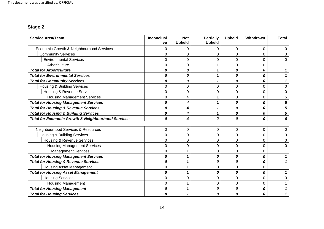# **Stage 2**

| <b>Service Area/Team</b>                                      | <b>Inconclusi</b><br>ve | <b>Not</b><br><b>Upheld</b> | <b>Partially</b><br><b>Upheld</b> | <b>Upheld</b> | Withdrawn | <b>Total</b> |
|---------------------------------------------------------------|-------------------------|-----------------------------|-----------------------------------|---------------|-----------|--------------|
| Economic Growth & Neighbourhood Services                      | $\Omega$                | $\mathbf 0$                 | 0                                 | 0             | 0         | 0            |
| <b>Community Services</b>                                     | $\Omega$                | $\Omega$                    | 0                                 | $\Omega$      | 0         | 0            |
| <b>Environmental Services</b>                                 | $\Omega$                | $\mathbf 0$                 | 0                                 | 0             | 0         | $\Omega$     |
| Arboriculture                                                 | $\Omega$                | $\Omega$                    |                                   | $\Omega$      | 0         |              |
| <b>Total for Arboriculture</b>                                | 0                       | 0                           | 1                                 | 0             | 0         |              |
| <b>Total for Environmental Services</b>                       | 0                       | 0                           | 1                                 | 0             | 0         |              |
| <b>Total for Community Services</b>                           | 0                       | 0                           | 1                                 | 0             | 0         |              |
| <b>Housing &amp; Building Services</b>                        | $\mathbf 0$             | $\mathbf 0$                 | $\mathbf 0$                       | 0             | 0         | $\Omega$     |
| <b>Housing &amp; Revenue Services</b>                         | 0                       | 0                           | 0                                 | 0             | 0         | 0            |
| <b>Housing Management Services</b>                            | $\mathbf 0$             | 4                           |                                   | 0             | 0         | 5            |
| <b>Total for Housing Management Services</b>                  | 0                       | 4                           | 1                                 | 0             | 0         | 5            |
| <b>Total for Housing &amp; Revenue Services</b>               | 0                       | 4                           | 1                                 | 0             | 0         | 5            |
| <b>Total for Housing &amp; Building Services</b>              | 0                       | 4                           | 1                                 | 0             | 0         | 5            |
| <b>Total for Economic Growth &amp; Neighbourhood Services</b> | 0                       | 4                           | $\overline{\mathbf{2}}$           | 0             | 0         | 6            |
| Neighbourhood Services & Resources                            | 0                       | 0                           | $\pmb{0}$                         | 0             | 0         | 0            |
| <b>Housing &amp; Building Services</b>                        | $\mathbf 0$             | $\mathbf 0$                 | 0                                 | 0             | 0         | 0            |
| <b>Housing &amp; Revenue Services</b>                         | $\overline{0}$          | 0                           | 0                                 | $\Omega$      | 0         | $\Omega$     |
| <b>Housing Management Services</b>                            | 0                       | 0                           | $\boldsymbol{0}$                  | 0             | 0         | 0            |
| <b>Management Services</b>                                    | $\overline{0}$          |                             | 0                                 | 0             | 0         |              |
| <b>Total for Housing Management Services</b>                  | 0                       | 1                           | 0                                 | 0             | 0         |              |
| <b>Total for Housing &amp; Revenue Services</b>               | 0                       | 1                           | 0                                 | 0             | 0         |              |
| <b>Housing Asset Management</b>                               | 0                       |                             | 0                                 | 0             | 0         |              |
| <b>Total for Housing Asset Management</b>                     | 0                       | 1                           | 0                                 | 0             | 0         |              |
| <b>Housing Services</b>                                       | 0                       | 0                           | 0                                 | 0             | 0         | 0            |
| <b>Housing Management</b>                                     | $\mathbf 0$             |                             | 0                                 | 0             | 0         |              |
| <b>Total for Housing Management</b>                           | 0                       | 1                           | 0                                 | 0             | 0         |              |
| <b>Total for Housing Services</b>                             | 0                       |                             | 0                                 | 0             | 0         |              |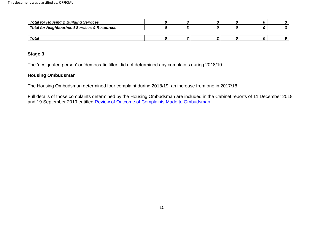| <b>Total for Housing &amp; Building Services</b>        |  |  |  |
|---------------------------------------------------------|--|--|--|
| <b>Total for Neighbourhood Services &amp; Resources</b> |  |  |  |
|                                                         |  |  |  |
| <b>Total</b>                                            |  |  |  |

#### **Stage 3**

The 'designated person' or 'democratic filter' did not determined any complaints during 2018/19.

#### **Housing Ombudsman**

The Housing Ombudsman determined four complaint during 2018/19, an increase from one in 2017/18.

and 19 September 2019 entitled [Review of Outcome of Complaints Made to Ombudsman.](https://democracy.darlington.gov.uk/ieListMeetings.aspx?CommitteeId=137) Full details of those complaints determined by the Housing Ombudsman are included in the Cabinet reports of 11 December 2018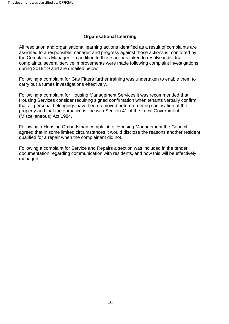#### **Organisational Learning**

 during 2018/19 and are detailed below: All resolution and organisational learning actions identified as a result of complaints are assigned to a responsible manager and progress against those actions is monitored by the Complaints Manager. In addition to those actions taken to resolve individual complaints, several service improvements were made following complaint investigations

 carry out a fumes investigations effectively. Following a complaint for Gas Fitters further training was undertaken to enable them to

 that all personal belongings have been removed before ordering sanitisation of the Following a complaint for Housing Management Services it was recommended that Housing Services consider requiring signed confirmation when tenants verbally confirm property and that their practice is line with Section 41 of the Local Government (Miscellaneous) Act 1984.

Following a Housing Ombudsman complaint for Housing Management the Council agreed that in some limited circumstances it would disclose the reasons another resident qualified for a repair when the complainant did not.

Following a complaint for Service and Repairs a section was included in the tender documentation regarding communication with residents, and how this will be effectively managed.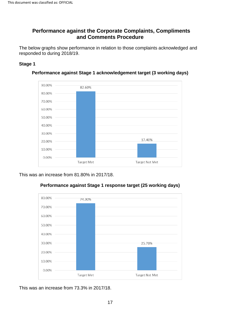## <span id="page-16-0"></span>**Performance against the Corporate Complaints, Compliments and Comments Procedure**

<span id="page-16-1"></span> The below graphs show performance in relation to those complaints acknowledged and responded to during 2018/19.

#### **Stage 1**



**Performance against Stage 1 acknowledgement target (3 working days)** 

This was an increase from 81.80% in 2017/18.



#### **Performance against Stage 1 response target (25 working days)**

This was an increase from 73.3% in 2017/18.